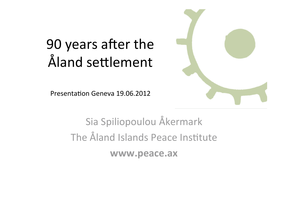### 90 years after the Åland settlement

Presentation Geneva 19.06.2012



Sia
Spiliopoulou
Åkermark The Åland Islands Peace Institute **www.peace.ax**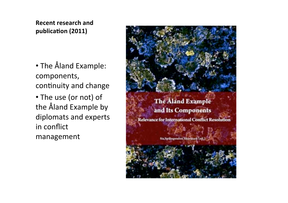#### **Recent
research
and** publication (2011)

•The
Åland
Example: components, continuity and change

• The use (or not) of the
Åland
Example
by diplomats
and
experts in
conflict management

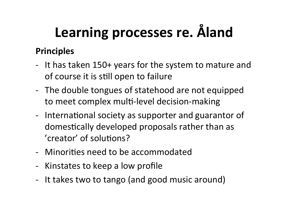# **Learning processes re.
Åland**

#### **Principles**

- ‐ It
has
taken
150+
years
for
the
system
to
mature
and of course it is still open to failure
- The double tongues of statehood are not equipped to meet complex multi-level decision-making
- International society as supporter and guarantor of domestically developed proposals rather than as 'creator' of solutions?
- Minorities need to be accommodated
- ‐ Kinstates
to
keep
a
low
profile
- ‐ It
takes
two
to
tango
(and
good
music
around)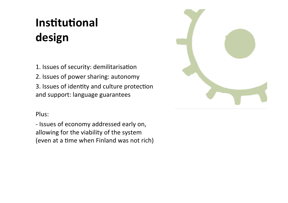### **Institutional design**

1. Issues of security: demilitarisation

2.
Issues
of
power
sharing:
autonomy

3. Issues of identity and culture protection and
support:
language
guarantees

#### Plus:

‐
Issues
of
economy
addressed
early
on, allowing
for
the
viability
of
the
system (even at a time when Finland was not rich)

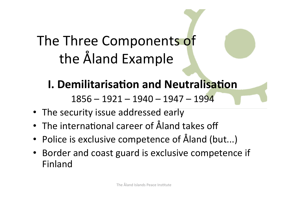## The
Three
Components
of the
Åland
Example

### **I. Demilitarisation and Neutralisation**

1856
–
1921
–
1940
–
1947
–
1994

- The security issue addressed early
- The international career of Åland takes off
- Police is exclusive competence of Åland (but...)
- Border and coast guard is exclusive competence if Finland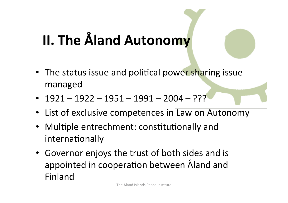## **II.
The
Åland
Autonomy**

- The status issue and political power sharing issue managed
- $1921 1922 1951 1991 2004 ?$
- List of exclusive competences in Law on Autonomy
- Multiple entrechment: constitutionally and internationally
- Governor enjoys the trust of both sides and is appointed in cooperation between Åland and Finland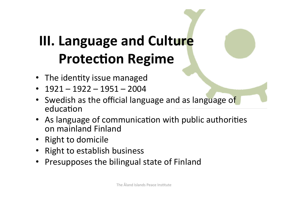## **III.
Language
and
Culture Protection Regime**

- The identity issue managed
- $-1921 1922 1951 2004$
- Swedish as the official language and as language of education
- As language of communication with public authorities on
mainland
Finland
- Right
to
domicile
- Right to establish business
- Presupposes the bilingual state of Finland